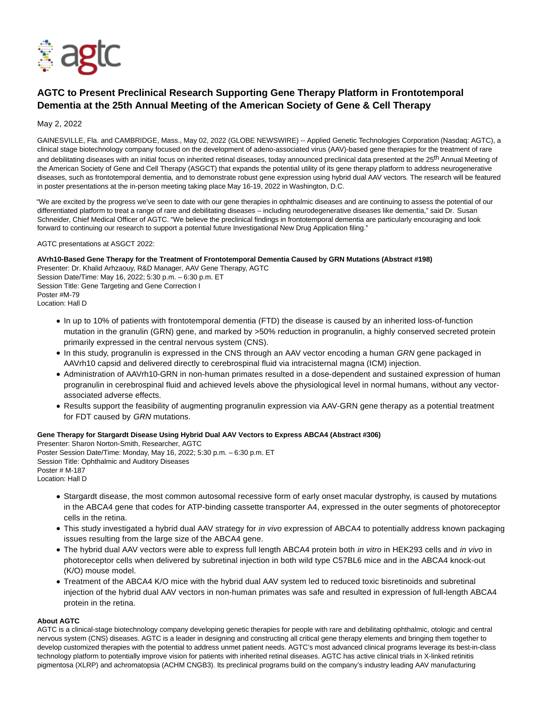

# **AGTC to Present Preclinical Research Supporting Gene Therapy Platform in Frontotemporal Dementia at the 25th Annual Meeting of the American Society of Gene & Cell Therapy**

## May 2, 2022

GAINESVILLE, Fla. and CAMBRIDGE, Mass., May 02, 2022 (GLOBE NEWSWIRE) -- Applied Genetic Technologies Corporation (Nasdaq: AGTC), a clinical stage biotechnology company focused on the development of adeno-associated virus (AAV)-based gene therapies for the treatment of rare and debilitating diseases with an initial focus on inherited retinal diseases, today announced preclinical data presented at the 25<sup>th</sup> Annual Meeting of the American Society of Gene and Cell Therapy (ASGCT) that expands the potential utility of its gene therapy platform to address neurogenerative diseases, such as frontotemporal dementia, and to demonstrate robust gene expression using hybrid dual AAV vectors. The research will be featured in poster presentations at the in-person meeting taking place May 16-19, 2022 in Washington, D.C.

"We are excited by the progress we've seen to date with our gene therapies in ophthalmic diseases and are continuing to assess the potential of our differentiated platform to treat a range of rare and debilitating diseases – including neurodegenerative diseases like dementia," said Dr. Susan Schneider, Chief Medical Officer of AGTC. "We believe the preclinical findings in frontotemporal dementia are particularly encouraging and look forward to continuing our research to support a potential future Investigational New Drug Application filing."

AGTC presentations at ASGCT 2022:

## **AVrh10-Based Gene Therapy for the Treatment of Frontotemporal Dementia Caused by GRN Mutations (Abstract #198)**

Presenter: Dr. Khalid Arhzaouy, R&D Manager, AAV Gene Therapy, AGTC Session Date/Time: May 16, 2022; 5:30 p.m. – 6:30 p.m. ET Session Title: Gene Targeting and Gene Correction I Poster #M-79 Location: Hall D

- In up to 10% of patients with frontotemporal dementia (FTD) the disease is caused by an inherited loss-of-function mutation in the granulin (GRN) gene, and marked by >50% reduction in progranulin, a highly conserved secreted protein primarily expressed in the central nervous system (CNS).
- In this study, progranulin is expressed in the CNS through an AAV vector encoding a human GRN gene packaged in AAVrh10 capsid and delivered directly to cerebrospinal fluid via intracisternal magna (ICM) injection.
- Administration of AAVrh10-GRN in non-human primates resulted in a dose-dependent and sustained expression of human progranulin in cerebrospinal fluid and achieved levels above the physiological level in normal humans, without any vectorassociated adverse effects.
- Results support the feasibility of augmenting progranulin expression via AAV-GRN gene therapy as a potential treatment for FDT caused by GRN mutations.

## **Gene Therapy for Stargardt Disease Using Hybrid Dual AAV Vectors to Express ABCA4 (Abstract #306)**

Presenter: Sharon Norton-Smith, Researcher, AGTC Poster Session Date/Time: Monday, May 16, 2022; 5:30 p.m. – 6:30 p.m. ET Session Title: Ophthalmic and Auditory Diseases Poster # M-187 Location: Hall D

- Stargardt disease, the most common autosomal recessive form of early onset macular dystrophy, is caused by mutations in the ABCA4 gene that codes for ATP-binding cassette transporter A4, expressed in the outer segments of photoreceptor cells in the retina.
- This study investigated a hybrid dual AAV strategy for in vivo expression of ABCA4 to potentially address known packaging issues resulting from the large size of the ABCA4 gene.
- The hybrid dual AAV vectors were able to express full length ABCA4 protein both in vitro in HEK293 cells and in vivo in photoreceptor cells when delivered by subretinal injection in both wild type C57BL6 mice and in the ABCA4 knock-out (K/O) mouse model.
- Treatment of the ABCA4 K/O mice with the hybrid dual AAV system led to reduced toxic bisretinoids and subretinal injection of the hybrid dual AAV vectors in non-human primates was safe and resulted in expression of full-length ABCA4 protein in the retina.

#### **About AGTC**

AGTC is a clinical-stage biotechnology company developing genetic therapies for people with rare and debilitating ophthalmic, otologic and central nervous system (CNS) diseases. AGTC is a leader in designing and constructing all critical gene therapy elements and bringing them together to develop customized therapies with the potential to address unmet patient needs. AGTC's most advanced clinical programs leverage its best-in-class technology platform to potentially improve vision for patients with inherited retinal diseases. AGTC has active clinical trials in X-linked retinitis pigmentosa (XLRP) and achromatopsia (ACHM CNGB3). Its preclinical programs build on the company's industry leading AAV manufacturing